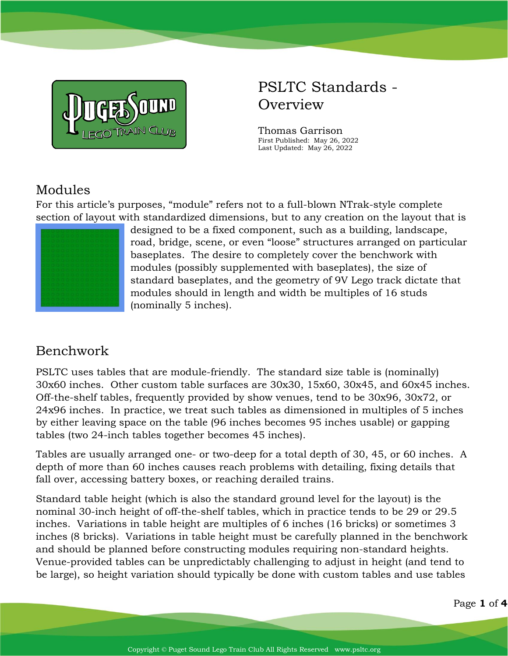

# PSLTC Standards - **Overview**

Thomas Garrison First Published: May 26, 2022 Last Updated: May 26, 2022

## Modules

For this article's purposes, "module" refers not to a full-blown NTrak-style complete section of layout with standardized dimensions, but to any creation on the layout that is



designed to be a fixed component, such as a building, landscape, road, bridge, scene, or even "loose" structures arranged on particular baseplates. The desire to completely cover the benchwork with modules (possibly supplemented with baseplates), the size of standard baseplates, and the geometry of 9V Lego track dictate that modules should in length and width be multiples of 16 studs (nominally 5 inches).

## Benchwork

PSLTC uses tables that are module-friendly. The standard size table is (nominally) 30x60 inches. Other custom table surfaces are 30x30, 15x60, 30x45, and 60x45 inches. Off-the-shelf tables, frequently provided by show venues, tend to be 30x96, 30x72, or 24x96 inches. In practice, we treat such tables as dimensioned in multiples of 5 inches by either leaving space on the table (96 inches becomes 95 inches usable) or gapping tables (two 24-inch tables together becomes 45 inches).

Tables are usually arranged one- or two-deep for a total depth of 30, 45, or 60 inches. A depth of more than 60 inches causes reach problems with detailing, fixing details that fall over, accessing battery boxes, or reaching derailed trains.

Standard table height (which is also the standard ground level for the layout) is the nominal 30-inch height of off-the-shelf tables, which in practice tends to be 29 or 29.5 inches. Variations in table height are multiples of 6 inches (16 bricks) or sometimes 3 inches (8 bricks). Variations in table height must be carefully planned in the benchwork and should be planned before constructing modules requiring non-standard heights. Venue-provided tables can be unpredictably challenging to adjust in height (and tend to be large), so height variation should typically be done with custom tables and use tables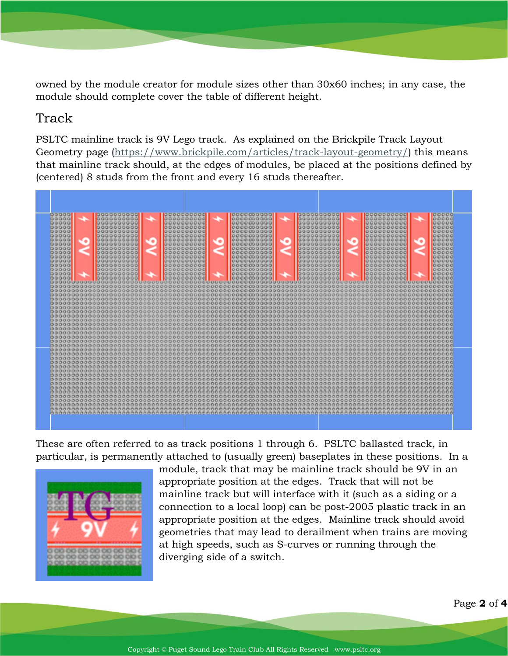owned by the module creator for module sizes other than 30x60 inches; in any case, the module should complete cover the table of different height.

#### Track

PSLTC mainline track is 9V Lego track. As explained on the Brickpile Track Layout Geometry page [\(https://www.brickpile.com/articles/track-layout-geometry/\)](https://www.brickpile.com/articles/track-layout-geometry/) this means that mainline track should, at the edges of modules, be placed at the positions defined by (centered) 8 studs from the front and every 16 studs thereafter.



These are often referred to as track positions 1 through 6. PSLTC ballasted track, in particular, is permanently attached to (usually green) baseplates in these positions. In a



module, track that may be mainline track should be 9V in an appropriate position at the edges. Track that will not be mainline track but will interface with it (such as a siding or a connection to a local loop) can be post-2005 plastic track in an appropriate position at the edges. Mainline track should avoid geometries that may lead to derailment when trains are moving at high speeds, such as S-curves or running through the diverging side of a switch.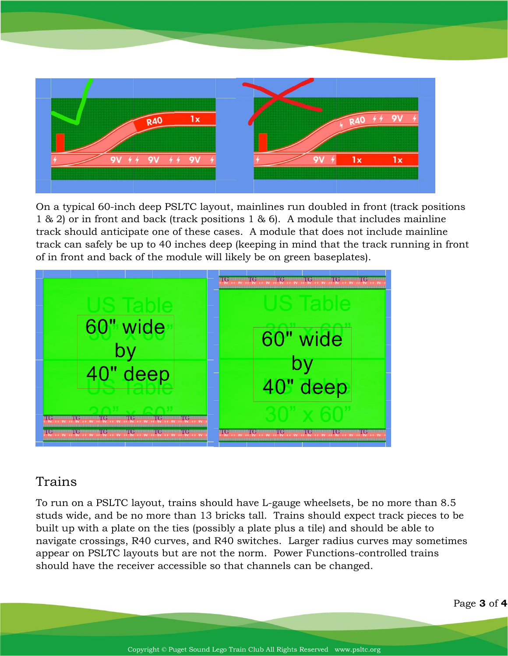

On a typical 60-inch deep PSLTC layout, mainlines run doubled in front (track positions 1 & 2) or in front and back (track positions 1 & 6). A module that includes mainline track should anticipate one of these cases. A module that does not include mainline track can safely be up to 40 inches deep (keeping in mind that the track running in front of in front and back of the module will likely be on green baseplates).



### Trains

To run on a PSLTC layout, trains should have L-gauge wheelsets, be no more than 8.5 studs wide, and be no more than 13 bricks tall. Trains should expect track pieces to be built up with a plate on the ties (possibly a plate plus a tile) and should be able to navigate crossings, R40 curves, and R40 switches. Larger radius curves may sometimes appear on PSLTC layouts but are not the norm. Power Functions-controlled trains should have the receiver accessible so that channels can be changed.